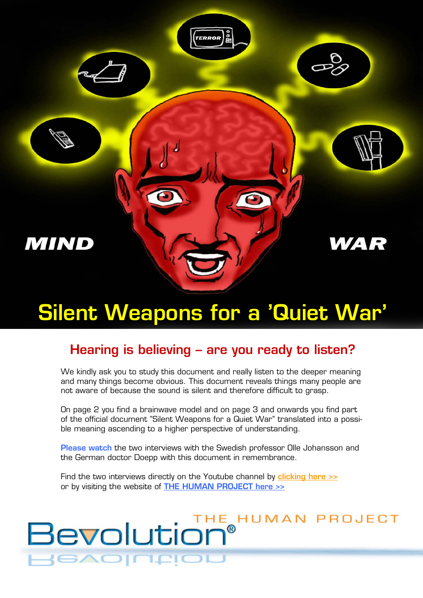

# **Silent Weapons for a 'Quiet War'**

## **Hearing is believing – are you ready to listen?**

We kindly ask you to study this document and really listen to the deeper meaning and many things become obvious. This document reveals things many people are not aware of because the sound is silent and therefore difficult to grasp.

On page 2 you find a brainwave model and on page 3 and onwards you find part of the official document "Silent Weapons for a Quiet War" translated into a possible meaning ascending to a higher perspective of understanding.

**Please watch** the two interviews with the Swedish professor Olle Johansson and the German doctor Doepp with this document in remembrance.

Find the two interviews directly on the Youtube channel by **[clicking here >>](http://www.youtube.com/creatrix13)** or by visiting the website of **THE [HUMAN PROJECT here >>](http://www.bevolution.org/)**

1

# Bevolution® **BAOIN.RIC**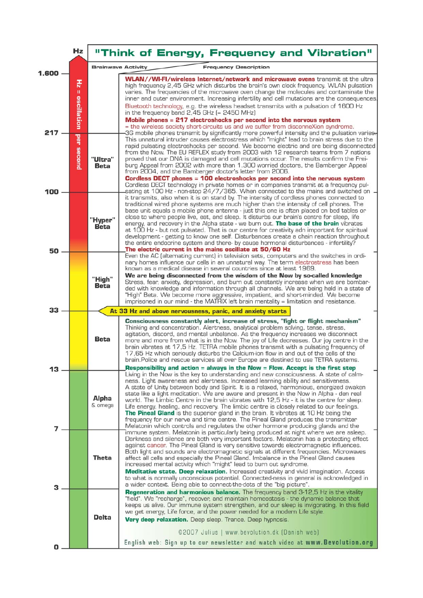|           | Hz                    |                                                           | "Think of Energy, Frequency and Vibration"                                                                                                                                                                                                                                                                                                                                                                                                                                                                                                                                                                                                                                                                                                                                                                                                                                          |
|-----------|-----------------------|-----------------------------------------------------------|-------------------------------------------------------------------------------------------------------------------------------------------------------------------------------------------------------------------------------------------------------------------------------------------------------------------------------------------------------------------------------------------------------------------------------------------------------------------------------------------------------------------------------------------------------------------------------------------------------------------------------------------------------------------------------------------------------------------------------------------------------------------------------------------------------------------------------------------------------------------------------------|
|           |                       | <b>Brainwave Activity</b><br><b>Frequency Description</b> |                                                                                                                                                                                                                                                                                                                                                                                                                                                                                                                                                                                                                                                                                                                                                                                                                                                                                     |
| 1.600     | 퓨<br>Ш<br>oscillation |                                                           | <b>WLAN//WI-FI/wireless Internet/network and microwave ovens</b> transmit at the ultra<br>high frequency 2,45 GHz which disturbs the brain's own clock frequency. WLAN pulsation<br>varies. The frequencies of the microwave oven change the molecules and contaminate the<br>inner and outer environment. Increasing infertility and cell mutations are the consequences.<br>Bluetooth technology, e.g. the wireless headset transmits with a pulsation of 1600 Hz<br>in the frequency band $2,45$ GHz (= 2450 MHz)<br>Mobile phones = 217 electroshocks per second into the nervous system<br>= the wireless society short-circuits us and we suffer from disconneXion syndrome.                                                                                                                                                                                                  |
| 217       | per second            | "Ultra"<br><b>Beta</b>                                    | 3G mobile phones transmit by significantly more powerful intensity and the pulsation varies.<br>This unnatural intruder causes electrostress which "might" lead to brain stress due to the<br>rapid pulsating electroshocks per second. We become electric and are being disconnected<br>from the Now. The EU REFLEX study from 2003 with 12 research teams from 7 nations<br>proved that our DNA is damaged and cell mutations occur. The results confirm the Frei-<br>burg Appeal from 2002 with more than 1.300 worried doctors, the Bamberger Appeal<br>from 2004, and the Bamberger doctor's letter from 2006.<br>Cordless DECT phones = 100 electroshocks per second into the nervous system<br>Cordless DECT technology in private homes or in companies transmit at a frequency pul-<br>sating at 100 Hz - non-stop 24/7/365. When connected to the mains and switched on - |
| 100<br>50 |                       | "Hyper"<br><b>Beta</b>                                    | it transmits, also when it is on stand by. The intensity of cordless phones connected to<br>traditional wired phone systems are much higher than the intensity of cell phones. The<br>base unit equals a mobile phone antenna - just this one is often placed on bed tables or<br>close to where people live, eat, and sleep. It disturbs our brain's centre for sleep, life<br>energy, and recovery in the Alpha state - we burn out. The base of the brain vibrates<br>at 100 Hz - but not pulsated. That is our centre for creativity adn important for spiritual<br>development - getting to know one self. Disturbances create a chain reaction throughout<br>the entire endocrine system and there- by cause hormonal disturbances - infertility?<br>The electric current in the mains oscillate at 50/60 Hz                                                                  |
|           |                       | "High"<br><b>Beta</b>                                     | Even the AC (alternating current) in television sets, computers and the switches in ordi-<br>nary homes influence our cells in an unnatural way. The term electrostress has been<br>known as a medical disease in several countries since at least 1969.<br>We are being disconnected from the wisdom of the Now by so-called knowledge<br>Stress, fear, anxiety, depression, and burn out constantly increase when we are bombar-<br>ded with knowledge and information through all channels. We are being held in a state of<br>"High" Beta. We become more aggressive, impatient, and short-minded. We become<br>imprisoned in our mind - the MATRIX left brain mentality = limitation and resistance.                                                                                                                                                                           |
| 33        |                       |                                                           | At 33 Hz and above nervousness, panic, and anxiety starts                                                                                                                                                                                                                                                                                                                                                                                                                                                                                                                                                                                                                                                                                                                                                                                                                           |
|           |                       | Beta                                                      | Consciousness constantly alert, increase of stress, "fight or flight mechanism"<br>Thinking and concentration. Alertness, analytical problem solving, tense, stress,<br>agitation, discord, and mental unbalance. As the frequency increases we disconnect<br>more and more from what is in the Now. The joy of Life decreases. Our joy centre in the<br>brain vibrates at 17,5 Hz. TETRA mobile phones transmit with a pulsating frequency of<br>17,65 Hz which seriously disturbs the Calcium-ion flow in and out of the cells of the<br>brain. Police and rescue services all over Europe are destined to use TETRA systems.<br>Responsibility and action = always in the Now = Flow. Accept is the first step                                                                                                                                                                   |
| 13<br>7   |                       | Alpha<br>& omega                                          | Living in the Now is the key to understanding and new consciousness. A state of calm-<br>ness. Light awareness and alertness. Increased learning ability and sensitiveness.<br>A state of Unity between body and Spirit. It is a relaxed, harmonious, energized awaken<br>state like a light meditation. We are aware and present in the Now in Alpha - den real<br>world. The Limbic Centre in the brain vibrates with 12,5 Hz - it is the centre for sleep.<br>Life energy, healing, and recovery. The limbic centre is closely related to our feelings.<br><b>The Pineal Gland</b> is the superior gland in the brain. It vibrates at 10 Hz being the<br>frequency for our nerve and time centre. The Pineal Gland produces the transmitter<br>Melatonin which controls and regulates the other hormone producing glands and the                                                 |
| З         |                       | Theta                                                     | immune system. Melatonin is particularly being produced at night where we are asleep.<br>Darkness and silence are both very important factors. Melatonin has a protecting effect<br>against cancer. The Pineal Gland is very sensitive towards electromagnetic influences.<br>Both light and sounds are electromagnetic signals at different frequencies. Microwaves<br>affect all cells and especially the Pineal Gland. Imbalance in the Pineal Gland causes<br>increased mental activity which "might" lead to burn out syndrome.<br><b>Meditative state. Deep relaxation.</b> Increased creativity and vivid imagination. Access<br>to what is normally unconscious potential. Connected-ness in general is acknowledged in<br>a wider context. Being able to connect-the-dots of the "big picture".                                                                            |
| 0         |                       | <b>Delta</b>                                              | <b>Regeneration and harmonious balance.</b> The frequency band 3-12,5 Hz is the vitality<br>"field". We "recharge", recover, and maintain homeostasis - the dynamic balance that<br>keeps us alive. Our immune system strengthen, and our sleep is invigorating. In this field<br>we get energy, Life force, and the power needed for a modern Life style.<br>Very deep relaxation. Deep sleep. Trance. Deep hypnosis.<br>©2007 Julius   www.bevolution.dk (Danish web)<br>English web: Sign up to our newsletter and watch video at www. Bevolution.org                                                                                                                                                                                                                                                                                                                            |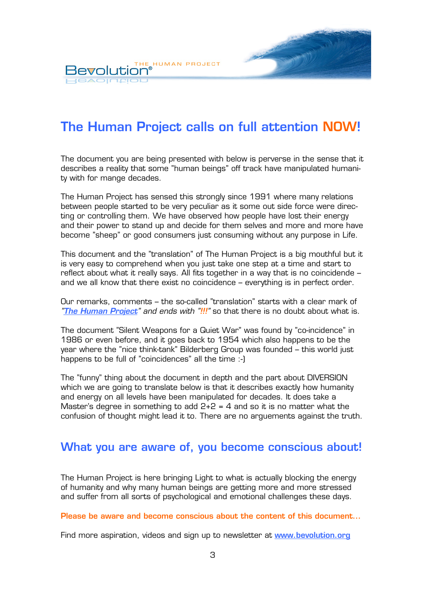THE HUMAN PROJECT Bevolution **BAOINEIOL** 

## **The Human Project calls on full attention NOW!**

فتعمله

The document you are being presented with below is perverse in the sense that it describes a reality that some "human beings" off track have manipulated humanity with for mange decades.

The Human Project has sensed this strongly since 1991 where many relations between people started to be very peculiar as it some out side force were directing or controlling them. We have observed how people have lost their energy and their power to stand up and decide for them selves and more and more have become "sheep" or good consumers just consuming without any purpose in Life.

This document and the "translation" of The Human Project is a big mouthful but it is very easy to comprehend when you just take one step at a time and start to reflect about what it really says. All fits together in a way that is no coincidende – and we all know that there exist no coincidence – everything is in perfect order.

Our remarks, comments – the so-called "translation" starts with a clear mark of *"The Human Project" and ends with "!!!"* so that there is no doubt about what is.

The document "Silent Weapons for a Quiet War" was found by "co-incidence" in 1986 or even before, and it goes back to 1954 which also happens to be the year where the "nice think-tank" Bilderberg Group was founded – this world just happens to be full of "coincidences" all the time :-)

The "funny" thing about the document in depth and the part about DIVERSION which we are going to translate below is that it describes exactly how humanity and energy on all levels have been manipulated for decades. It does take a Master's degree in something to add  $2+2 = 4$  and so it is no matter what the confusion of thought might lead it to. There are no arguements against the truth.

### **What you are aware of, you become conscious about!**

The Human Project is here bringing Light to what is actually blocking the energy of humanity and why many human beings are getting more and more stressed and suffer from all sorts of psychological and emotional challenges these days.

**Please be aware and become conscious about the content of this document...** 

Find more aspiration, videos and sign up to newsletter at **[www.bevolution.org](http://www.bevolution.org/)**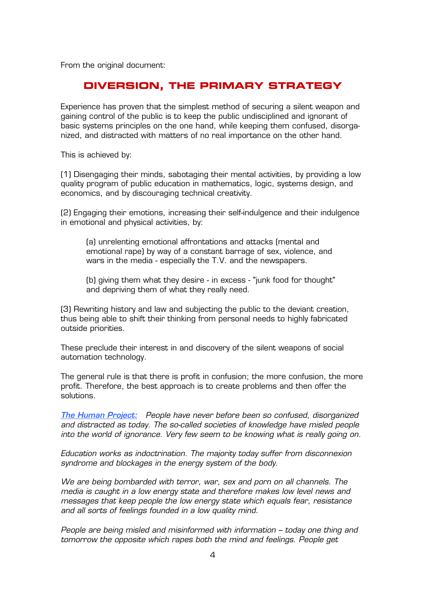From the original document:

#### **DIVERSION, THE PRIMARY STRATEGY**

Experience has proven that the simplest method of securing a silent weapon and gaining control of the public is to keep the public undisciplined and ignorant of basic systems principles on the one hand, while keeping them confused, disorganized, and distracted with matters of no real importance on the other hand.

This is achieved by:

(1) Disengaging their minds, sabotaging their mental activities, by providing a low quality program of public education in mathematics, logic, systems design, and economics, and by discouraging technical creativity.

(2) Engaging their emotions, increasing their self-indulgence and their indulgence in emotional and physical activities, by:

(a) unrelenting emotional affrontations and attacks (mental and emotional rape) by way of a constant barrage of sex, violence, and wars in the media - especially the T.V. and the newspapers.

(b) giving them what they desire - in excess - "junk food for thought" and depriving them of what they really need.

(3) Rewriting history and law and subjecting the public to the deviant creation, thus being able to shift their thinking from personal needs to highly fabricated outside priorities.

These preclude their interest in and discovery of the silent weapons of social automation technology.

The general rule is that there is profit in confusion; the more confusion, the more profit. Therefore, the best approach is to create problems and then offer the solutions.

*The Human Project: People have never before been so confused, disorganized and distracted as today. The so-called societies of knowledge have misled people into the world of ignorance. Very few seem to be knowing what is really going on.* 

*Education works as indoctrination. The majority today suffer from disconnexion syndrome and blockages in the energy system of the body.* 

*We are being bombarded with terror, war, sex and porn on all channels. The media is caught in a low energy state and therefore makes low level news and messages that keep people the low energy state which equals fear, resistance and all sorts of feelings founded in a low quality mind.* 

*People are being misled and misinformed with information – today one thing and tomorrow the opposite which rapes both the mind and feelings. People get*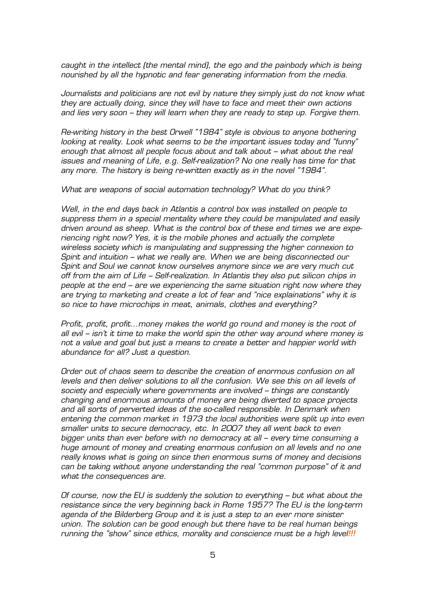*caught in the intellect (the mental mind), the ego and the painbody which is being nourished by all the hypnotic and fear generating information from the media.* 

*Journalists and politicians are not evil by nature they simply just do not know what they are actually doing, since they will have to face and meet their own actions and lies very soon – they will learn when they are ready to step up. Forgive them.* 

*Re-writing history in the best Orwell "1984" style is obvious to anyone bothering looking at reality. Look what seems to be the important issues today and "funny" enough that almost all people focus about and talk about – what about the real issues and meaning of Life, e.g. Self-realization? No one really has time for that*  any more. The history is being re-written exactly as in the novel "1984".

*What are weapons of social automation technology? What do you think?* 

*Well, in the end days back in Atlantis a control box was installed on people to suppress them in a special mentality where they could be manipulated and easily driven around as sheep. What is the control box of these end times we are experiencing right now? Yes, it is the mobile phones and actually the complete wireless society which is manipulating and suppressing the higher connexion to Spirit and intuition – what we really are. When we are being disconnected our Spirit and Soul we cannot know ourselves anymore since we are very much cut off from the aim of Life – Self-realization. In Atlantis they also put silicon chips in people at the end – are we experiencing the same situation right now where they are trying to marketing and create a lot of fear and "nice explainations" why it is so nice to have microchips in meat, animals, clothes and everything?* 

*Profit, profit, profit...money makes the world go round and money is the root of all evil – isn't it time to make the world spin the other way around where money is not a value and goal but just a means to create a better and happier world with abundance for all? Just a question.* 

*Order out of chaos seem to describe the creation of enormous confusion on all levels and then deliver solutions to all the confusion. We see this on all levels of society and especially where governments are involved – things are constantly changing and enormous amounts of money are being diverted to space projects*  and all sorts of perverted ideas of the so-called responsible. In Denmark when *entering the common market in 1973 the local authorities were split up into even smaller units to secure democracy, etc. In 2007 they all went back to even bigger units than ever before with no democracy at all – every time consuming a huge amount of money and creating enormous confusion on all levels and no one really knows what is going on since then enormous sums of money and decisions can be taking without anyone understanding the real "common purpose" of it and what the consequences are.* 

*Of course, now the EU is suddenly the solution to everything – but what about the resistance since the very beginning back in Rome 1957? The EU is the long-term agenda of the Bilderberg Group and it is just a step to an ever more sinister union. The solution can be good enough but there have to be real human beings running the "show" since ethics, morality and conscience must be a high level!!!*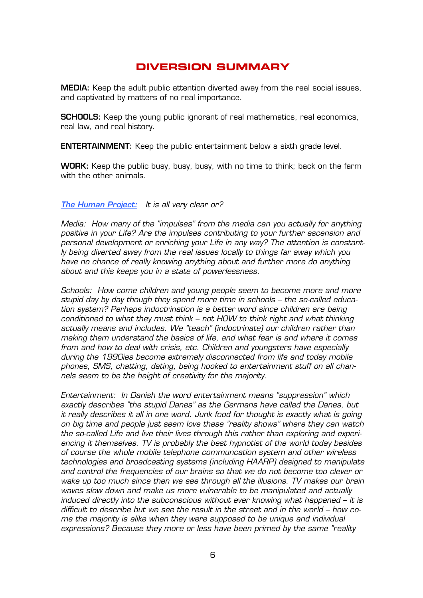### **DIVERSION SUMMARY**

**MEDIA:** Keep the adult public attention diverted away from the real social issues, and captivated by matters of no real importance.

**SCHOOLS:** Keep the young public ignorant of real mathematics, real economics, real law, and real history.

**ENTERTAINMENT:** Keep the public entertainment below a sixth grade level.

**WORK:** Keep the public busy, busy, busy, with no time to think; back on the farm with the other animals.

#### *The Human Project: It is all very clear or?*

*Media: How many of the "impulses" from the media can you actually for anything positive in your Life? Are the impulses contributing to your further ascension and personal development or enriching your Life in any way? The attention is constantly being diverted away from the real issues locally to things far away which you have no chance of really knowing anything about and further more do anything about and this keeps you in a state of powerlessness.* 

*Schools: How come children and young people seem to become more and more stupid day by day though they spend more time in schools – the so-called education system? Perhaps indoctrination is a better word since children are being conditioned to what they must think – not HOW to think right and what thinking actually means and includes. We "teach" (indoctrinate) our children rather than making them understand the basics of life, and what fear is and where it comes from and how to deal with crisis, etc. Children and youngsters have especially during the 1990ies become extremely disconnected from life and today mobile phones, SMS, chatting, dating, being hooked to entertainment stuff on all channels seem to be the height of creativity for the majority.* 

*Entertainment: In Danish the word entertainment means "suppression" which exactly describes "the stupid Danes" as the Germans have called the Danes, but it really describes it all in one word. Junk food for thought is exactly what is going on big time and people just seem love these "reality shows" where they can watch the so-called Life and live their lives through this rather than exploring and experiencing it themselves. TV is probably the best hypnotist of the world today besides of course the whole mobile telephone communcation system and other wireless technologies and broadcasting systems (including HAARP) designed to manipulate and control the frequencies of our brains so that we do not become too clever or wake up too much since then we see through all the illusions. TV makes our brain waves slow down and make us more vulnerable to be manipulated and actually induced directly into the subconscious without ever knowing what happened – it is difficult to describe but we see the result in the street and in the world – how come the majority is alike when they were supposed to be unique and individual expressions? Because they more or less have been primed by the same "reality*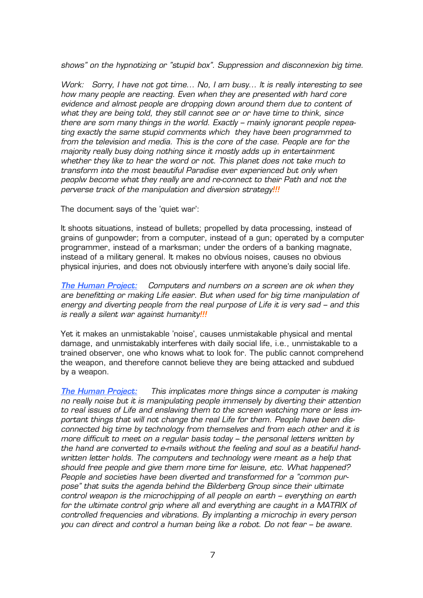*shows" on the hypnotizing or "stupid box". Suppression and disconnexion big time.* 

*Work: Sorry, I have not got time... No, I am busy... It is really interesting to see how many people are reacting. Even when they are presented with hard core evidence and almost people are dropping down around them due to content of what they are being told, they still cannot see or or have time to think, since there are som many things in the world. Exactly – mainly ignorant people repeating exactly the same stupid comments which they have been programmed to from the television and media. This is the core of the case. People are for the majority really busy doing nothing since it mostly adds up in entertainment whether they like to hear the word or not. This planet does not take much to transform into the most beautiful Paradise ever experienced but only when peoplw become what they really are and re-connect to their Path and not the perverse track of the manipulation and diversion strategy!!!*

The document says of the 'quiet war':

It shoots situations, instead of bullets; propelled by data processing, instead of grains of gunpowder; from a computer, instead of a gun; operated by a computer programmer, instead of a marksman; under the orders of a banking magnate, instead of a military general. It makes no obvíous noises, causes no obvious physical injuries, and does not obviously interfere with anyone's daily social life.

*The Human Project: Computers and numbers on a screen are ok when they are benefitting or making Life easier. But when used for big time manipulation of energy and diverting people from the real purpose of Life it is very sad – and this is really a silent war against humanity!!!*

Yet it makes an unmistakable 'noise', causes unmistakable physical and mental damage, and unmistakably interferes with daily social life, i.e., unmistakable to a trained observer, one who knows what to look for. The public cannot comprehend the weapon, and therefore cannot believe they are being attacked and subdued by a weapon.

*The Human Project: This implicates more things since a computer is making no really noise but it is manipulating people immensely by diverting their attention to real issues of Life and enslaving them to the screen watching more or less important things that will not change the real Life for them. People have been disconnected big time by technology from themselves and from each other and it is more difficult to meet on a regular basis today – the personal letters written by the hand are converted to e-mails without the feeling and soul as a beatiful handwritten letter holds. The computers and technology were meant as a help that should free people and give them more time for leisure, etc. What happened? People and societies have been diverted and transformed for a "common purpose" that suits the agenda behind the Bilderberg Group since their ultimate control weapon is the microchipping of all people on earth – everything on earth*  for the ultimate control grip where all and everything are caught in a MATRIX of *controlled frequencies and vibrations. By implanting a microchip in every person you can direct and control a human being like a robot. Do not fear – be aware.*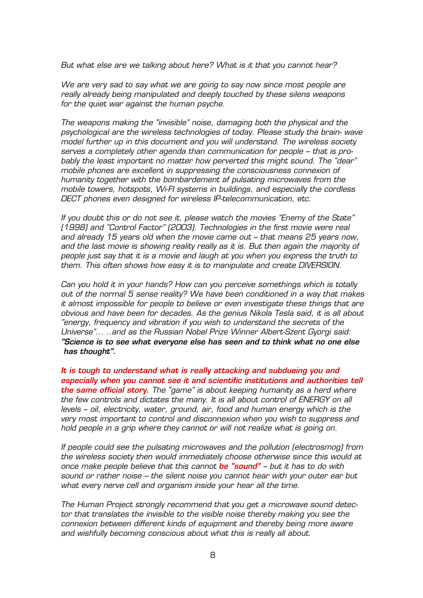*But what else are we talking about here? What is it that you cannot hear?* 

*We are very sad to say what we are going to say now since most people are really already being manipulated and deeply touched by these silens weapons for the quiet war against the human psyche.* 

*The weapons making the "invisible" noise, damaging both the physical and the psychological are the wireless technologies of today. Please study the brain- wave model further up in this document and you will understand. The wireless society serves a completely other agenda than communication for people – that is probably the least important no matter how perverted this might sound. The "dear" mobile phones are excellent in suppressing the consciousness connexion of humanity together with the bombardement af pulsating microwaves from the mobile towers, hotspots, Wi-FI systems in buildings, and especially the cordless DECT phones even designed for wireless IP-telecommunication, etc.* 

*If you doubt this or do not see it, please watch the movies "Enemy of the State" (1998) and "Control Factor" (2003). Technologies in the first movie were real and already 15 years old when the movie came out – that means 25 years now, and the last movie is showing reality really as it is. But then again the majority of people just say that it is a movie and laugh at you when you express the truth to them. This often shows how easy it is to manipulate and create DIVERSION.* 

*Can you hold it in your hands? How can you perceive somethings which is totally out of the normal 5 sense reality? We have been conditioned in a way that makes it almost impossible for people to believe or even investigate these things that are obvious and have been for decades. As the genius Nikola Tesla said, it is all about "energy, frequency and vibration if you wish to understand the secrets of the Universe"... ..and as the Russian Nobel Prize Winner Albert-Szent Gyorgi said: "Science is to see what everyone else has seen and to think what no one else has thought".*

*It is tough to understand what is really attacking and subdueing you and especially when you cannot see it and scientific institutions and authorities tell the same official story. The "game" is about keeping humanity as a herd where the few controls and dictates the many. It is all about control of ENERGY on all levels – oil, electricity, water, ground, air, food and human energy which is the very most important to control and disconnexion when you wish to suppress and hold people in a grip where they cannot or will not realize what is going on.* 

*If people could see the pulsating microwaves and the pollution (electrosmog) from the wireless society then would immediately choose otherwise since this would at once make people believe that this cannot be "sound" – but it has to do with sound or rather noise – the silent noise you cannot hear with your outer ear but what every nerve cell and organism inside your hear all the time.* 

*The Human Project strongly recommend that you get a microwave sound detector that translates the invisible to the visible noise thereby making you see the connexion between different kinds of equipment and thereby being more aware and wishfully becoming conscious about what this is really all about.*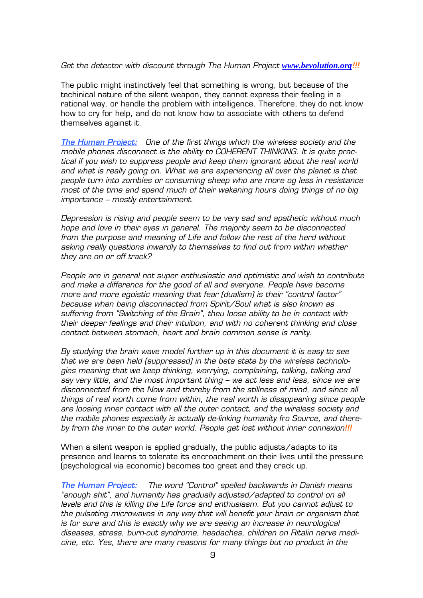#### *Get the detector with discount through The Human Project <i>[www.bevolution.org](http://www.bevolution.org/)*!!!

The public might instinctively feel that something is wrong, but because of the techinical nature of the silent weapon, they cannot express their feeling in a rational way, or handle the problem with intelligence. Therefore, they do not know how to cry for help, and do not know how to associate with others to defend themselves against it.

*The Human Project: One of the first things which the wireless society and the mobile phones disconnect is the ability to COHERENT THINKING. It is quite practical if you wish to suppress people and keep them ignorant about the real world*  and what is really going on. What we are experiencing all over the planet is that *people turn into zombies or consuming sheep who are more og less in resistance most of the time and spend much of their wakening hours doing things of no big importance – mostly entertainment.* 

*Depression is rising and people seem to be very sad and apathetic without much hope and love in their eyes in general. The majority seem to be disconnected from the purpose and meaning of Life and follow the rest of the herd without asking really questions inwardly to themselves to find out from within whether they are on or off track?* 

*People are in general not super enthusiastic and optimistic and wish to contribute and make a difference for the good of all and everyone. People have become more and more egoistic meaning that fear (dualism) is their "control factor" because when being disconnected from Spirit/Soul what is also known as suffering from "Switching of the Brain", theu loose ability to be in contact with their deeper feelings and their intuition, and with no coherent thinking and close contact between stomach, heart and brain common sense is rarity.* 

*By studying the brain wave model further up in this document it is easy to see that we are been held (suppressed) in the beta state by the wireless technologies meaning that we keep thinking, worrying, complaining, talking, talking and say very little, and the most important thing – we act less and less, since we are disconnected from the Now and thereby from the stillness of mind, and since all things of real worth come from within, the real worth is disappearing since people are loosing inner contact with all the outer contact, and the wireless society and the mobile phones especially is actually de-linking humanity fro Source, and thereby from the inner to the outer world. People get lost without inner connexion!!!*

When a silent weapon is applied gradually, the public adjusts/adapts to its presence and learns to tolerate its encroachment on their lives until the pressure (psychological via economic) becomes too great and they crack up.

*The Human Project: The word "Control" spelled backwards in Danish means "enough shit", and humanity has gradually adjusted/adapted to control on all levels and this is killing the Life force and enthusiasm. But you cannot adjust to the pulsating microwaves in any way that will benefit your brain or organism that is for sure and this is exactly why we are seeing an increase in neurological diseases, stress, burn-out syndrome, headaches, children on Ritalin nerve medicine, etc. Yes, there are many reasons for many things but no product in the*